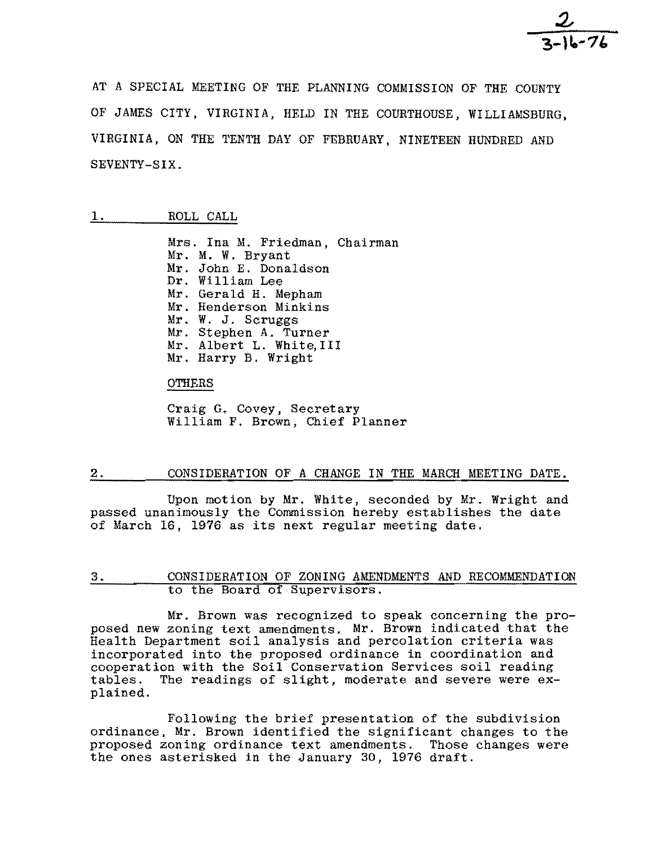AT A SPECIAL MEETING OF THE PLANNING COMMISSION OF THE COUNTY OF JAMES CITY, VIRGINIA, HELD IN THE COURTHOUSE, WILLIAMSBURG, VIRGINIA, ON THE TENTH DAY OF FEBRUARY, NINETEEN HUNDRED AND SEVENTY-SIX.

# 1. ROLL CALL

Mrs. Ina M. Friedman, Chairman Mr. M. W. Bryant Mr. John E. Donaldson Dr. William Lee Mr. Gerald H. Mepham Mr. Henderson Minkins Mr. W. J. Scruggs Mr. Stephen A. Turner Mr. Albert L. White,III Mr. Harry B. Wright

**OTHERS** 

Craig G. Covey, Secretary William F. Brown, Chief Planner

## 2. CONSIDERATION OF A CHANGE IN THE MARCH MEETING DATE.

Upon motion by Mr. White, seconded by Mr. Wright and passed unanimously the Commission hereby establishes the date of March 16, 1976 as its next regular meeting date.

## 3. CONSIDERATION OF ZONING AMENDMENTS AND RECOMMENDATION to the Board of Supervisors.

Mr. Brown was recognized to speak concerning the proposed new zoning text amendments. Mr. Brown indicated that the Health Department soil analysis and percolation criteria was incorporated into the proposed ordinance in coordination and cooperation with the Soil Conservation Services soil reading tables. The readings of slight, moderate and severe were explained.

Following the brief presentation of the subdivision ordinance, Mr. Brown identified the significant changes to the proposed zoning ordinance text amendments. Those changes were the ones asterisked in the January 30, 1976 draft.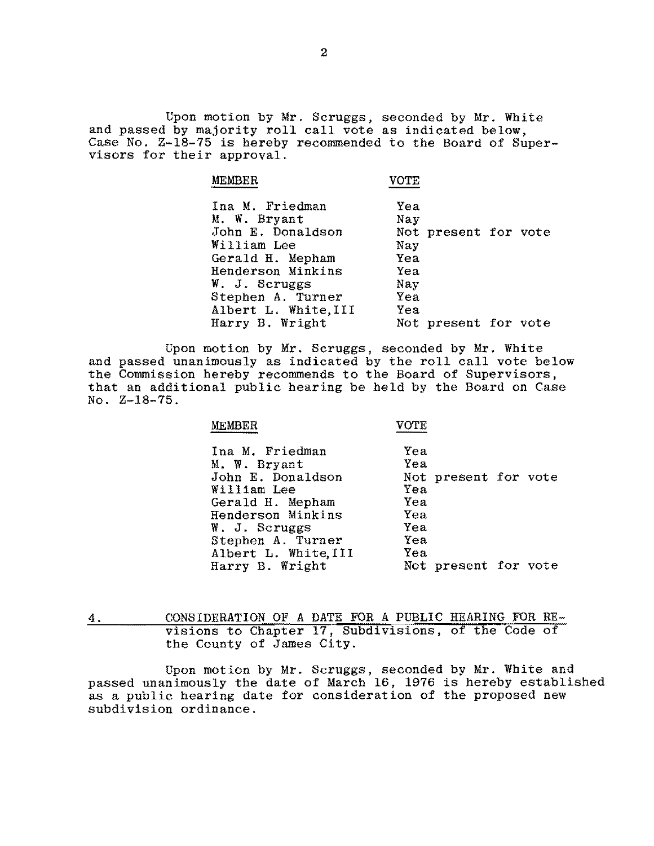Upon motion by Mr. Scruggs, seconded by Mr. White and passed by majority roll call vote as indicated below, Case No. Z-lS-75 is hereby recommended to the Board of Supervisors for their approval.

| MEMBER               | <b>VOTE</b>          |
|----------------------|----------------------|
| Ina M. Friedman      | Yea                  |
| M. W. Bryant         | Nay                  |
| John E. Donaldson    | Not present for vote |
| William Lee          | Nay                  |
| Gerald H. Mepham     | Yea                  |
| Henderson Minkins    | Yea                  |
| W. J. Scruggs        | Nay                  |
| Stephen A. Turner    | Yea                  |
| Albert L. White, III | Yea                  |
| Harry B. Wright      | Not present for vote |
|                      |                      |

Upon motion by Mr. Scruggs, seconded by Mr. White and passed unanimously as indicated by the roll call vote below the Commission hereby recommends to the Board of Supervisors, that an additional public hearing be held by the Board on Case No. Z-lS-75.

#### MEMBER

#### VOTE

Ina M. Friedman M. W. Bryant John E. Donaldson William Lee Gerald H. Mepham Henderson Minkins W. J. Scruggs Stephen A. Turner Albert L. White, III Harry B. Wright Yea Yea Not present for vote Yea Yea Yea Yea Yea Yea Not present for vote

4. CONSIDERATION OF A DATE FOR A PUBLIC HEARING FOR RE visions to Chapter 17, Subdivisions, of the Code of the County of James City.

Upon motion by Mr. Scruggs, seconded by Mr. White and passed unanimously the date of March 16, 1976 is hereby established as a public hearing date for consideration of the proposed new subdivision ordinance.